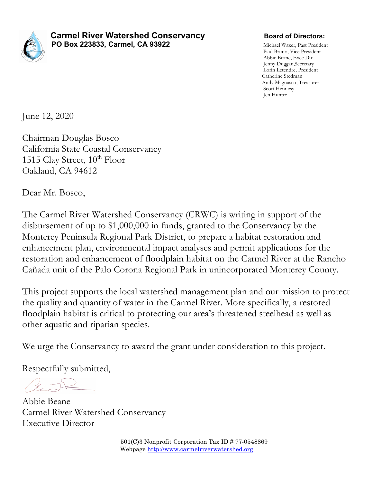

**Carmel River Watershed Conservancy Example 3 Board of Directors: PO Box 223833, Carmel, CA 93922** Michael Waxer, Past President

Paul Bruno, Vice President Abbie Beane, Exec Dir Jenny Duggan,Secretary Lorin Letendre, President Catherine Stedman Andy Magnasco, Treasurer Scott Hennesy Jen Hunter

June 12, 2020

Chairman Douglas Bosco California State Coastal Conservancy 1515 Clay Street,  $10^{th}$  Floor Oakland, CA 94612

Dear Mr. Bosco,

The Carmel River Watershed Conservancy (CRWC) is writing in support of the disbursement of up to \$1,000,000 in funds, granted to the Conservancy by the Monterey Peninsula Regional Park District, to prepare a habitat restoration and enhancement plan, environmental impact analyses and permit applications for the restoration and enhancement of floodplain habitat on the Carmel River at the Rancho Cañada unit of the Palo Corona Regional Park in unincorporated Monterey County.

This project supports the local watershed management plan and our mission to protect the quality and quantity of water in the Carmel River. More specifically, a restored floodplain habitat is critical to protecting our area's threatened steelhead as well as other aquatic and riparian species.

We urge the Conservancy to award the grant under consideration to this project.

Respectfully submitted,

Abbie Beane Carmel River Watershed Conservancy Executive Director